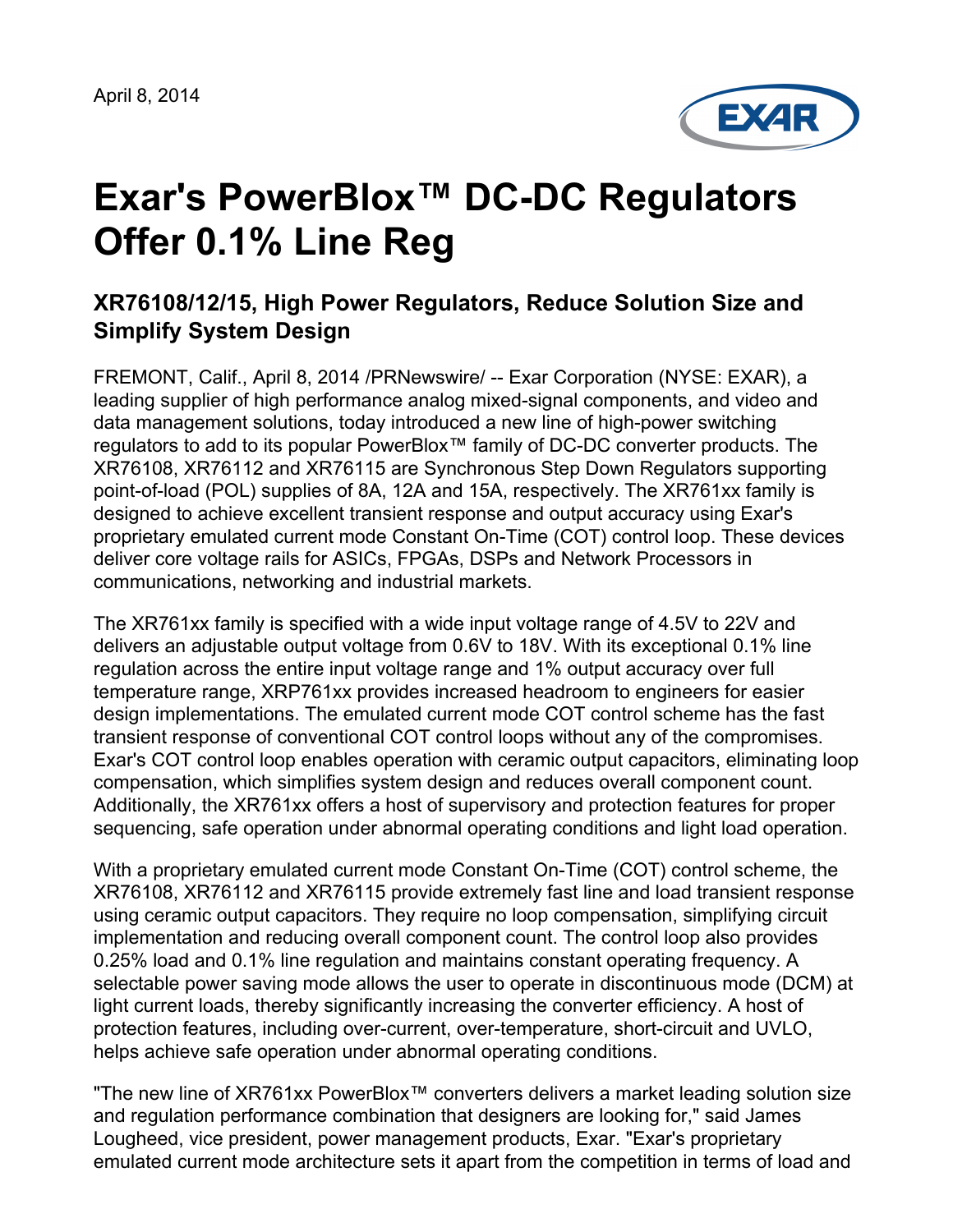

# **Exar's PowerBlox™ DC-DC Regulators Offer 0.1% Line Reg**

## **XR76108/12/15, High Power Regulators, Reduce Solution Size and Simplify System Design**

FREMONT, Calif., April 8, 2014 /PRNewswire/ -- Exar Corporation (NYSE: EXAR), a leading supplier of high performance analog mixed-signal components, and video and data management solutions, today introduced a new line of high-power switching regulators to add to its popular PowerBlox™ family of DC-DC converter products. The XR76108, XR76112 and XR76115 are Synchronous Step Down Regulators supporting point-of-load (POL) supplies of 8A, 12A and 15A, respectively. The XR761xx family is designed to achieve excellent transient response and output accuracy using Exar's proprietary emulated current mode Constant On-Time (COT) control loop. These devices deliver core voltage rails for ASICs, FPGAs, DSPs and Network Processors in communications, networking and industrial markets.

The XR761xx family is specified with a wide input voltage range of 4.5V to 22V and delivers an adjustable output voltage from 0.6V to 18V. With its exceptional 0.1% line regulation across the entire input voltage range and 1% output accuracy over full temperature range, XRP761xx provides increased headroom to engineers for easier design implementations. The emulated current mode COT control scheme has the fast transient response of conventional COT control loops without any of the compromises. Exar's COT control loop enables operation with ceramic output capacitors, eliminating loop compensation, which simplifies system design and reduces overall component count. Additionally, the XR761xx offers a host of supervisory and protection features for proper sequencing, safe operation under abnormal operating conditions and light load operation.

With a proprietary emulated current mode Constant On-Time (COT) control scheme, the XR76108, XR76112 and XR76115 provide extremely fast line and load transient response using ceramic output capacitors. They require no loop compensation, simplifying circuit implementation and reducing overall component count. The control loop also provides 0.25% load and 0.1% line regulation and maintains constant operating frequency. A selectable power saving mode allows the user to operate in discontinuous mode (DCM) at light current loads, thereby significantly increasing the converter efficiency. A host of protection features, including over-current, over-temperature, short-circuit and UVLO, helps achieve safe operation under abnormal operating conditions.

"The new line of XR761xx PowerBlox™ converters delivers a market leading solution size and regulation performance combination that designers are looking for," said James Lougheed, vice president, power management products, Exar. "Exar's proprietary emulated current mode architecture sets it apart from the competition in terms of load and